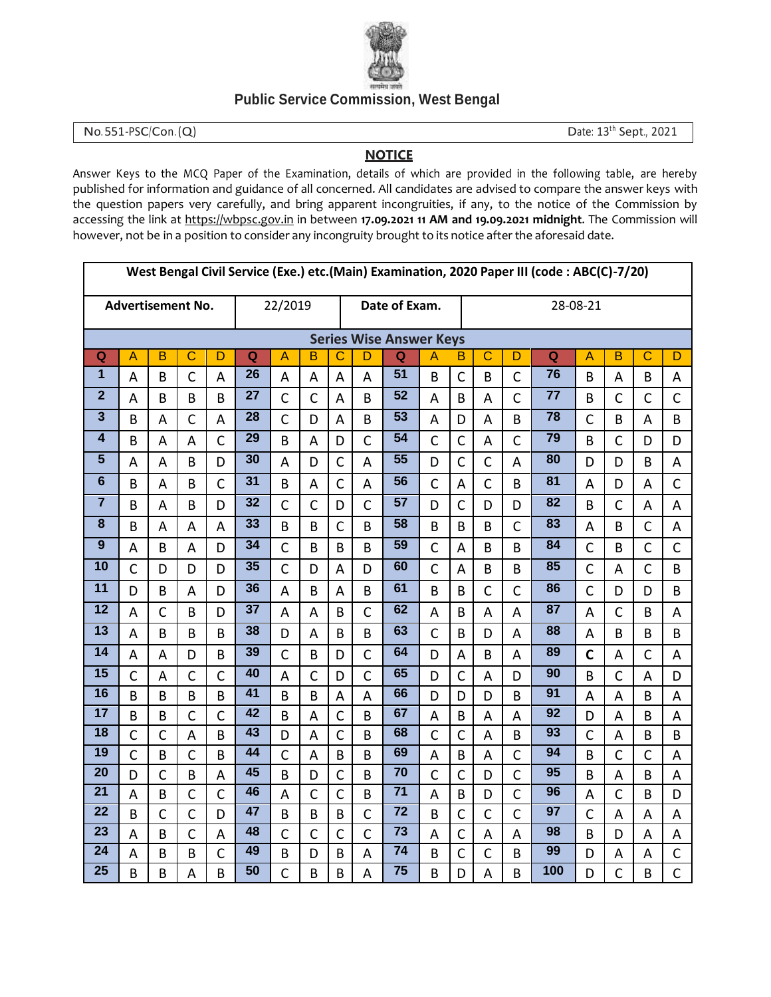

## **Public Service Commission, West Bengal**

No. 551-PSC/Con. (Q) Date: 13<sup>th</sup> Sept., 2021

## **NOTICE**

Answer Keys to the MCQ Paper of the Examination, details of which are provided in the following table, are hereby published for information and guidance of all concerned. All candidates are advised to compare the answer keys with the question papers very carefully, and bring apparent incongruities, if any, to the notice of the Commission by accessing the link at https://wbpsc.gov.in in between **17.09.2021 11 AM and 19.09.2021 midnight**. The Commission will however, not be in a position to consider any incongruity brought to its notice after the aforesaid date.

|                         | West Bengal Civil Service (Exe.) etc.(Main) Examination, 2020 Paper III (code: ABC(C)-7/20) |                          |              |                |                 |                |                |                |                |                                |                |                |              |              |                 |              |              |                |              |
|-------------------------|---------------------------------------------------------------------------------------------|--------------------------|--------------|----------------|-----------------|----------------|----------------|----------------|----------------|--------------------------------|----------------|----------------|--------------|--------------|-----------------|--------------|--------------|----------------|--------------|
|                         |                                                                                             | <b>Advertisement No.</b> | 22/2019      |                |                 |                | Date of Exam.  |                |                |                                | 28-08-21       |                |              |              |                 |              |              |                |              |
|                         |                                                                                             |                          |              |                |                 |                |                |                |                | <b>Series Wise Answer Keys</b> |                |                |              |              |                 |              |              |                |              |
| Q                       | A                                                                                           | B                        | C            | D              | Q               | A              | в              | C              | D              | Q                              | Α              | В              | $\mathbf C$  | D            | $\overline{Q}$  | A            | B            | C              | D            |
| $\overline{\mathbf{1}}$ | A                                                                                           | B                        | $\mathsf{C}$ | A              | 26              | A              | A              | A              | A              | 51                             | B              | $\mathsf{C}$   | B            | $\mathsf{C}$ | $\overline{76}$ | B            | Α            | B              | A            |
| $\overline{2}$          | A                                                                                           | B                        | B            | B              | 27              | $\mathsf{C}$   | $\mathsf{C}$   | A              | B              | $\overline{52}$                | А              | B              | A            | $\mathsf{C}$ | $\overline{77}$ | B            | $\mathsf{C}$ | $\mathsf{C}$   | $\mathsf{C}$ |
| $\overline{\mathbf{3}}$ | B                                                                                           | A                        | $\mathsf{C}$ | A              | 28              | $\mathsf{C}$   | D              | A              | B              | $\overline{53}$                | A              | D              | A            | B            | $\overline{78}$ | $\mathsf C$  | B            | A              | B            |
| $\overline{\mathbf{4}}$ | B                                                                                           | A                        | A            | $\overline{C}$ | $\overline{29}$ | B              | A              | D              | $\mathsf{C}$   | $\overline{54}$                | $\mathsf{C}$   | $\mathsf{C}$   | A            | $\mathsf{C}$ | 79              | B            | $\mathsf{C}$ | D              | D            |
| $\overline{\mathbf{5}}$ | A                                                                                           | A                        | B            | D              | 30              | A              | D              | C              | A              | 55                             | D              | $\mathsf{C}$   | $\mathsf{C}$ | A            | 80              | D            | D            | B              | A            |
| $\overline{6}$          | B                                                                                           | A                        | B            | $\mathsf{C}$   | 31              | B              | A              | $\mathsf{C}$   | A              | $\overline{56}$                | $\mathsf{C}$   | A              | $\mathsf{C}$ | B            | 81              | A            | D            | A              | $\mathsf{C}$ |
| $\overline{7}$          | B                                                                                           | А                        | B            | D              | 32              | $\mathsf{C}$   | C              | D              | $\mathsf{C}$   | 57                             | D              | $\mathsf{C}$   | D            | D            | 82              | B            | $\mathsf C$  | A              | A            |
| $\overline{\mathbf{8}}$ | B                                                                                           | А                        | Α            | A              | 33              | B              | B              | $\mathsf{C}$   | B              | 58                             | B              | B              | B            | $\mathsf{C}$ | 83              | A            | B            | $\mathsf{C}$   | A            |
| $\overline{9}$          | A                                                                                           | B                        | A            | D              | 34              | $\mathsf{C}$   | B              | B              | B              | 59                             | $\mathsf{C}$   | A              | B            | B            | 84              | $\mathsf C$  | B            | $\mathsf{C}$   | $\mathsf{C}$ |
| $\overline{10}$         | $\mathsf{C}$                                                                                | D                        | D            | D              | $\overline{35}$ | $\mathsf{C}$   | D              | A              | D              | 60                             | $\overline{C}$ | A              | B            | B            | 85              | $\mathsf{C}$ | A            | $\mathsf{C}$   | B            |
| 11                      | D                                                                                           | B                        | A            | D              | 36              | A              | B              | A              | B              | 61                             | B              | B              | $\mathsf{C}$ | $\mathsf{C}$ | 86              | $\mathsf{C}$ | D            | D              | B            |
| $\overline{12}$         | A                                                                                           | $\mathsf{C}$             | B            | D              | $\overline{37}$ | A              | A              | B              | $\mathsf{C}$   | 62                             | A              | B              | A            | A            | $\overline{87}$ | A            | $\mathsf{C}$ | B              | A            |
| $\overline{13}$         | A                                                                                           | B                        | B            | B              | 38              | D              | A              | B              | B              | 63                             | $\overline{C}$ | B              | D            | A            | 88              | A            | B            | B              | B            |
| $\overline{14}$         | A                                                                                           | A                        | D            | B              | 39              | $\mathsf{C}$   | B              | D              | $\mathsf{C}$   | 64                             | D              | A              | B            | A            | 89              | $\mathbf C$  | A            | $\mathsf{C}$   | A            |
| $\overline{15}$         | $\mathsf{C}$                                                                                | A                        | $\mathsf{C}$ | $\overline{C}$ | 40              | $\overline{A}$ | $\overline{C}$ | D              | $\overline{C}$ | 65                             | D              | $\overline{C}$ | A            | D            | 90              | B            | $\mathsf{C}$ | $\overline{A}$ | D            |
| $\overline{16}$         | B                                                                                           | B                        | B            | B              | 41              | B              | B              | A              | A              | 66                             | D              | D              | D            | B            | $\overline{91}$ | A            | A            | B              | A            |
| $\overline{17}$         | B                                                                                           | B                        | $\mathsf{C}$ | $\mathsf{C}$   | 42              | B              | A              | $\overline{C}$ | B              | 67                             | A              | B              | A            | A            | $\overline{92}$ | D            | A            | B              | A            |
| $\overline{18}$         | $\mathsf{C}$                                                                                | $\mathsf{C}$             | A            | B              | 43              | D              | A              | $\mathsf{C}$   | B              | 68                             | $\overline{C}$ | $\mathsf{C}$   | A            | B            | $\overline{93}$ | $\mathsf C$  | A            | B              | B            |
| 19                      | $\mathsf{C}$                                                                                | B                        | $\mathsf{C}$ | B              | 44              | $\mathsf{C}$   | A              | B              | B              | 69                             | A              | B              | A            | $\mathsf{C}$ | $\overline{94}$ | B            | $\mathsf{C}$ | $\mathsf{C}$   | A            |
| $\overline{20}$         | D                                                                                           | $\mathsf{C}$             | B            | A              | 45              | B              | D              | $\mathsf{C}$   | B              | $\overline{70}$                | $\overline{C}$ | $\mathsf{C}$   | D            | $\mathsf{C}$ | $\overline{95}$ | B            | A            | B              | A            |
| $\overline{21}$         | A                                                                                           | B                        | $\mathsf{C}$ | $\overline{C}$ | 46              | A              | $\mathsf{C}$   | $\mathsf{C}$   | B              | $\overline{71}$                | A              | B              | D            | $\mathsf{C}$ | 96              | A            | $\mathsf{C}$ | B              | D            |
| 22                      | B                                                                                           | $\mathsf{C}$             | $\mathsf{C}$ | D              | 47              | B              | B              | B              | $\mathsf{C}$   | 72                             | B              | $\mathsf{C}$   | $\mathsf{C}$ | $\mathsf{C}$ | 97              | $\mathsf{C}$ | A            | A              | A            |
| $\overline{23}$         | A                                                                                           | B                        | $\mathsf{C}$ | A              | 48              | $\mathsf{C}$   | $\mathsf{C}$   | $\mathsf{C}$   | $\mathsf{C}$   | $\overline{73}$                | A              | $\mathsf{C}$   | A            | A            | 98              | B            | D            | A              | A            |
| $\overline{24}$         | A                                                                                           | B                        | B            | C              | 49              | B              | D              | B              | A              | $\overline{74}$                | B              | $\mathsf{C}$   | $\mathsf{C}$ | B            | 99              | D            | A            | A              | C            |
| $\overline{25}$         | B                                                                                           | B                        | A            | B              | $\overline{50}$ | $\mathsf{C}$   | B              | B              | A              | $\overline{75}$                | B              | D              | A            | B            | 100             | D            | $\mathsf{C}$ | B              | $\mathsf{C}$ |